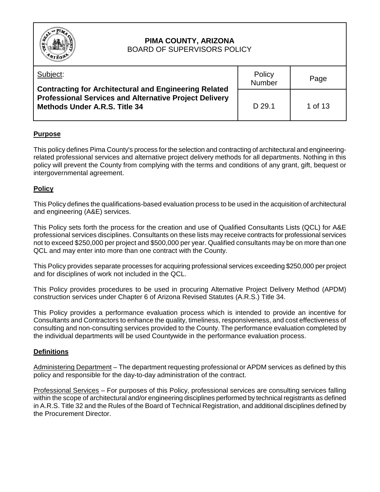

#### **PIMA COUNTY, ARIZONA** BOARD OF SUPERVISORS POLICY

| Subject:<br><b>Contracting for Architectural and Engineering Related</b>                              | Policy<br>Number | Page    |
|-------------------------------------------------------------------------------------------------------|------------------|---------|
| <b>Professional Services and Alternative Project Delivery</b><br><b>Methods Under A.R.S. Title 34</b> | D 29.1           | 1 of 13 |

# **Purpose**

This policy defines Pima County's process for the selection and contracting of architectural and engineeringrelated professional services and alternative project delivery methods for all departments. Nothing in this policy will prevent the County from complying with the terms and conditions of any grant, gift, bequest or intergovernmental agreement.

## **Policy**

This Policy defines the qualifications-based evaluation process to be used in the acquisition of architectural and engineering (A&E) services.

This Policy sets forth the process for the creation and use of Qualified Consultants Lists (QCL) for A&E professional services disciplines. Consultants on these lists may receive contracts for professional services not to exceed \$250,000 per project and \$500,000 per year. Qualified consultants may be on more than one QCL and may enter into more than one contract with the County.

This Policy provides separate processes for acquiring professional services exceeding \$250,000 per project and for disciplines of work not included in the QCL.

This Policy provides procedures to be used in procuring Alternative Project Delivery Method (APDM) construction services under Chapter 6 of Arizona Revised Statutes (A.R.S.) Title 34.

This Policy provides a performance evaluation process which is intended to provide an incentive for Consultants and Contractors to enhance the quality, timeliness, responsiveness, and cost effectiveness of consulting and non-consulting services provided to the County. The performance evaluation completed by the individual departments will be used Countywide in the performance evaluation process.

## **Definitions**

Administering Department – The department requesting professional or APDM services as defined by this policy and responsible for the day-to-day administration of the contract.

Professional Services – For purposes of this Policy, professional services are consulting services falling within the scope of architectural and/or engineering disciplines performed by technical registrants as defined in A.R.S. Title 32 and the Rules of the Board of Technical Registration, and additional disciplines defined by the Procurement Director.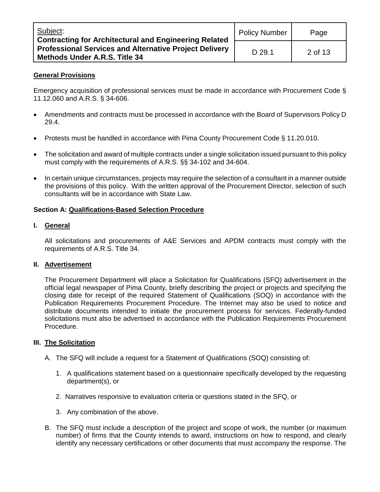| Subject:<br><b>Contracting for Architectural and Engineering Related</b>                       | <b>Policy Number</b> | Page    |
|------------------------------------------------------------------------------------------------|----------------------|---------|
| <b>Professional Services and Alternative Project Delivery</b><br>Methods Under A.R.S. Title 34 | D 29.1               | 2 of 13 |

## **General Provisions**

Emergency acquisition of professional services must be made in accordance with Procurement Code § 11.12.060 and A.R.S. § 34-606.

- Amendments and contracts must be processed in accordance with the Board of Supervisors Policy D 29.4.
- Protests must be handled in accordance with Pima County Procurement Code § 11.20.010.
- The solicitation and award of multiple contracts under a single solicitation issued pursuant to this policy must comply with the requirements of A.R.S. §§ 34-102 and 34-604.
- In certain unique circumstances, projects may require the selection of a consultant in a manner outside the provisions of this policy. With the written approval of the Procurement Director, selection of such consultants will be in accordance with State Law.

## **Section A: Qualifications-Based Selection Procedure**

## **I. General**

All solicitations and procurements of A&E Services and APDM contracts must comply with the requirements of A.R.S. Title 34.

## **II. Advertisement**

The Procurement Department will place a Solicitation for Qualifications (SFQ) advertisement in the official legal newspaper of Pima County, briefly describing the project or projects and specifying the closing date for receipt of the required Statement of Qualifications (SOQ) in accordance with the Publication Requirements Procurement Procedure. The Internet may also be used to notice and distribute documents intended to initiate the procurement process for services. Federally-funded solicitations must also be advertised in accordance with the Publication Requirements Procurement Procedure.

## **III. The Solicitation**

- A. The SFQ will include a request for a Statement of Qualifications (SOQ) consisting of:
	- 1. A qualifications statement based on a questionnaire specifically developed by the requesting department(s), or
	- 2. Narratives responsive to evaluation criteria or questions stated in the SFQ, or
	- 3. Any combination of the above.
- B. The SFQ must include a description of the project and scope of work, the number (or maximum number) of firms that the County intends to award, instructions on how to respond, and clearly identify any necessary certifications or other documents that must accompany the response. The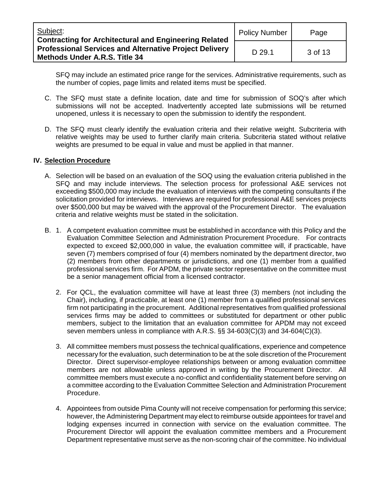| Subject:<br><b>Contracting for Architectural and Engineering Related</b>                              | <b>Policy Number</b> | Page    |
|-------------------------------------------------------------------------------------------------------|----------------------|---------|
| <b>Professional Services and Alternative Project Delivery</b><br><b>Methods Under A.R.S. Title 34</b> | D 29.1               | 3 of 13 |

SFQ may include an estimated price range for the services. Administrative requirements, such as the number of copies, page limits and related items must be specified.

- C. The SFQ must state a definite location, date and time for submission of SOQ's after which submissions will not be accepted. Inadvertently accepted late submissions will be returned unopened, unless it is necessary to open the submission to identify the respondent.
- D. The SFQ must clearly identify the evaluation criteria and their relative weight. Subcriteria with relative weights may be used to further clarify main criteria. Subcriteria stated without relative weights are presumed to be equal in value and must be applied in that manner.

### **IV. Selection Procedure**

- A. Selection will be based on an evaluation of the SOQ using the evaluation criteria published in the SFQ and may include interviews. The selection process for professional A&E services not exceeding \$500,000 may include the evaluation of interviews with the competing consultants if the solicitation provided for interviews. Interviews are required for professional A&E services projects over \$500,000 but may be waived with the approval of the Procurement Director. The evaluation criteria and relative weights must be stated in the solicitation.
- B. 1. A competent evaluation committee must be established in accordance with this Policy and the Evaluation Committee Selection and Administration Procurement Procedure. For contracts expected to exceed \$2,000,000 in value, the evaluation committee will, if practicable, have seven (7) members comprised of four (4) members nominated by the department director, two (2) members from other departments or jurisdictions, and one (1) member from a qualified professional services firm. For APDM, the private sector representative on the committee must be a senior management official from a licensed contractor.
	- 2. For QCL, the evaluation committee will have at least three (3) members (not including the Chair), including, if practicable, at least one (1) member from a qualified professional services firm not participating in the procurement. Additional representatives from qualified professional services firms may be added to committees or substituted for department or other public members, subject to the limitation that an evaluation committee for APDM may not exceed seven members unless in compliance with A.R.S. §§ 34-603(C)(3) and 34-604(C)(3).
	- 3. All committee members must possess the technical qualifications, experience and competence necessary for the evaluation, such determination to be at the sole discretion of the Procurement Director. Direct supervisor-employee relationships between or among evaluation committee members are not allowable unless approved in writing by the Procurement Director. All committee members must execute a no-conflict and confidentiality statement before serving on a committee according to the Evaluation Committee Selection and Administration Procurement Procedure.
	- 4. Appointees from outside Pima County will not receive compensation for performing this service; however, the Administering Department may elect to reimburse outside appointees for travel and lodging expenses incurred in connection with service on the evaluation committee. The Procurement Director will appoint the evaluation committee members and a Procurement Department representative must serve as the non-scoring chair of the committee. No individual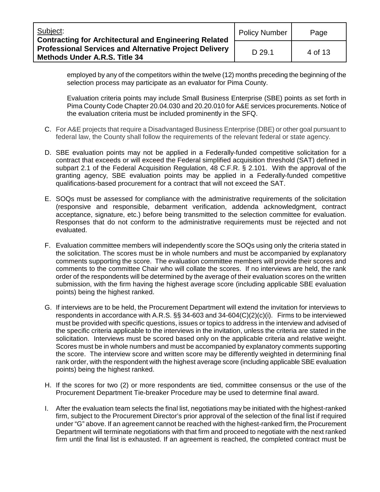| Subject:<br><b>Contracting for Architectural and Engineering Related</b>                              | <b>Policy Number</b> | Page    |
|-------------------------------------------------------------------------------------------------------|----------------------|---------|
| <b>Professional Services and Alternative Project Delivery</b><br><b>Methods Under A.R.S. Title 34</b> | D 29.1               | 4 of 13 |

employed by any of the competitors within the twelve (12) months preceding the beginning of the selection process may participate as an evaluator for Pima County.

Evaluation criteria points may include Small Business Enterprise (SBE) points as set forth in Pima County Code Chapter 20.04.030 and 20.20.010 for A&E services procurements. Notice of the evaluation criteria must be included prominently in the SFQ.

- C. For A&E projects that require a Disadvantaged Business Enterprise (DBE) or other goal pursuant to federal law, the County shall follow the requirements of the relevant federal or state agency.
- D. SBE evaluation points may not be applied in a Federally-funded competitive solicitation for a contract that exceeds or will exceed the Federal simplified acquisition threshold (SAT) defined in subpart 2.1 of the Federal Acquisition Regulation, 48 C.F.R. § 2.101. With the approval of the granting agency, SBE evaluation points may be applied in a Federally-funded competitive qualifications-based procurement for a contract that will not exceed the SAT.
- E. SOQs must be assessed for compliance with the administrative requirements of the solicitation (responsive and responsible, debarment verification, addenda acknowledgment, contract acceptance, signature, etc.) before being transmitted to the selection committee for evaluation. Responses that do not conform to the administrative requirements must be rejected and not evaluated.
- F. Evaluation committee members will independently score the SOQs using only the criteria stated in the solicitation. The scores must be in whole numbers and must be accompanied by explanatory comments supporting the score.The evaluation committee members will provide their scores and comments to the committee Chair who will collate the scores. If no interviews are held, the rank order of the respondents will be determined by the average of their evaluation scores on the written submission, with the firm having the highest average score (including applicable SBE evaluation points) being the highest ranked.
- G. If interviews are to be held, the Procurement Department will extend the invitation for interviews to respondents in accordance with A.R.S. §§ 34-603 and 34-604(C)(2)(c)(i). Firms to be interviewed must be provided with specific questions, issues or topics to address in the interview and advised of the specific criteria applicable to the interviews in the invitation, unless the criteria are stated in the solicitation. Interviews must be scored based only on the applicable criteria and relative weight. Scores must be in whole numbers and must be accompanied by explanatory comments supporting the score. The interview score and written score may be differently weighted in determining final rank order, with the respondent with the highest average score (including applicable SBE evaluation points) being the highest ranked.
- H. If the scores for two (2) or more respondents are tied, committee consensus or the use of the Procurement Department Tie-breaker Procedure may be used to determine final award.
- I. After the evaluation team selects the final list, negotiations may be initiated with the highest-ranked firm, subject to the Procurement Director's prior approval of the selection of the final list if required under "G" above. If an agreement cannot be reached with the highest-ranked firm, the Procurement Department will terminate negotiations with that firm and proceed to negotiate with the next ranked firm until the final list is exhausted. If an agreement is reached, the completed contract must be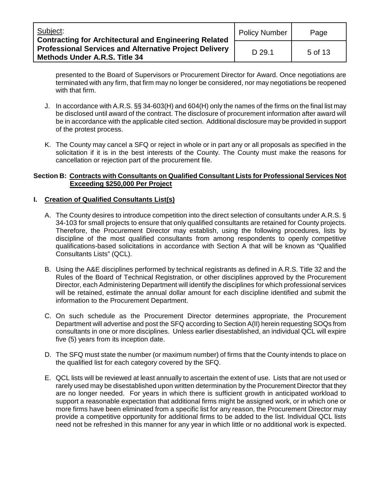| Subject:<br><b>Contracting for Architectural and Engineering Related</b>                              | <b>Policy Number</b> | Page    |
|-------------------------------------------------------------------------------------------------------|----------------------|---------|
| <b>Professional Services and Alternative Project Delivery</b><br><b>Methods Under A.R.S. Title 34</b> | D 29.1               | 5 of 13 |

presented to the Board of Supervisors or Procurement Director for Award. Once negotiations are terminated with any firm, that firm may no longer be considered, nor may negotiations be reopened with that firm.

- J. In accordance with A.R.S. §§ 34-603(H) and 604(H) only the names of the firms on the final list may be disclosed until award of the contract. The disclosure of procurement information after award will be in accordance with the applicable cited section. Additional disclosure may be provided in support of the protest process.
- K. The County may cancel a SFQ or reject in whole or in part any or all proposals as specified in the solicitation if it is in the best interests of the County. The County must make the reasons for cancellation or rejection part of the procurement file.

### **Section B: Contracts with Consultants on Qualified Consultant Lists for Professional Services Not Exceeding \$250,000 Per Project**

## **I. Creation of Qualified Consultants List(s)**

- A. The County desires to introduce competition into the direct selection of consultants under A.R.S. § 34-103 for small projects to ensure that only qualified consultants are retained for County projects. Therefore, the Procurement Director may establish, using the following procedures, lists by discipline of the most qualified consultants from among respondents to openly competitive qualifications-based solicitations in accordance with Section A that will be known as "Qualified Consultants Lists" (QCL).
- B. Using the A&E disciplines performed by technical registrants as defined in A.R.S. Title 32 and the Rules of the Board of Technical Registration, or other disciplines approved by the Procurement Director, each Administering Department will identify the disciplines for which professional services will be retained, estimate the annual dollar amount for each discipline identified and submit the information to the Procurement Department.
- C. On such schedule as the Procurement Director determines appropriate, the Procurement Department will advertise and post the SFQ according to Section A(II) herein requesting SOQs from consultants in one or more disciplines. Unless earlier disestablished, an individual QCL will expire five (5) years from its inception date.
- D. The SFQ must state the number (or maximum number) of firms that the County intends to place on the qualified list for each category covered by the SFQ.
- E. QCL lists will be reviewed at least annually to ascertain the extent of use. Lists that are not used or rarely used may be disestablished upon written determination by the Procurement Director that they are no longer needed. For years in which there is sufficient growth in anticipated workload to support a reasonable expectation that additional firms might be assigned work, or in which one or more firms have been eliminated from a specific list for any reason, the Procurement Director may provide a competitive opportunity for additional firms to be added to the list. Individual QCL lists need not be refreshed in this manner for any year in which little or no additional work is expected.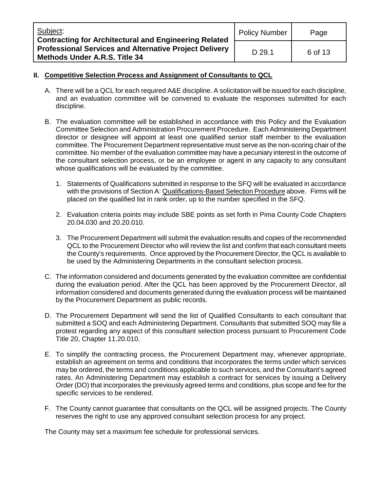| Subject:<br><b>Contracting for Architectural and Engineering Related</b>                              | <b>Policy Number</b> | Page    |
|-------------------------------------------------------------------------------------------------------|----------------------|---------|
| <b>Professional Services and Alternative Project Delivery</b><br><b>Methods Under A.R.S. Title 34</b> | D 29.1               | 6 of 13 |

## **II. Competitive Selection Process and Assignment of Consultants to QCL**

- A. There will be a QCL for each required A&E discipline. A solicitation will be issued for each discipline, and an evaluation committee will be convened to evaluate the responses submitted for each discipline.
- B. The evaluation committee will be established in accordance with this Policy and the Evaluation Committee Selection and Administration Procurement Procedure. Each Administering Department director or designee will appoint at least one qualified senior staff member to the evaluation committee. The Procurement Department representative must serve as the non-scoring chair of the committee. No member of the evaluation committee may have a pecuniary interest in the outcome of the consultant selection process, or be an employee or agent in any capacity to any consultant whose qualifications will be evaluated by the committee.
	- 1. Statements of Qualifications submitted in response to the SFQ will be evaluated in accordance with the provisions of Section A: Qualifications-Based Selection Procedure above. Firms will be placed on the qualified list in rank order, up to the number specified in the SFQ.
	- 2. Evaluation criteria points may include SBE points as set forth in Pima County Code Chapters 20.04.030 and 20.20.010.
	- 3. The Procurement Department will submit the evaluation results and copies of the recommended QCL to the Procurement Director who will review the list and confirm that each consultant meets the County's requirements. Once approved by the Procurement Director, the QCL is available to be used by the Administering Departments in the consultant selection process.
- C. The information considered and documents generated by the evaluation committee are confidential during the evaluation period. After the QCL has been approved by the Procurement Director, all information considered and documents generated during the evaluation process will be maintained by the Procurement Department as public records.
- D. The Procurement Department will send the list of Qualified Consultants to each consultant that submitted a SOQ and each Administering Department. Consultants that submitted SOQ may file a protest regarding any aspect of this consultant selection process pursuant to Procurement Code Title 20, Chapter 11.20.010.
- E. To simplify the contracting process, the Procurement Department may, whenever appropriate, establish an agreement on terms and conditions that incorporates the terms under which services may be ordered, the terms and conditions applicable to such services, and the Consultant's agreed rates. An Administering Department may establish a contract for services by issuing a Delivery Order (DO) that incorporates the previously agreed terms and conditions, plus scope and fee for the specific services to be rendered.
- F. The County cannot guarantee that consultants on the QCL will be assigned projects. The County reserves the right to use any approved consultant selection process for any project.

The County may set a maximum fee schedule for professional services.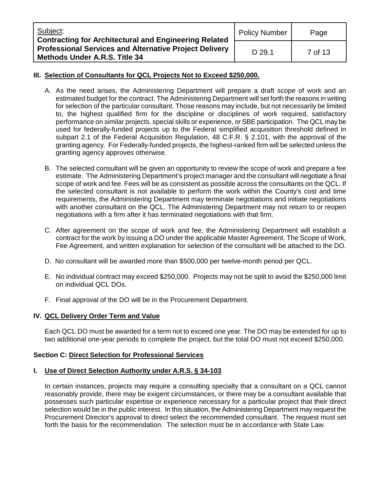| Subject:<br><b>Contracting for Architectural and Engineering Related</b>                              | <b>Policy Number</b> | Page    |
|-------------------------------------------------------------------------------------------------------|----------------------|---------|
| <b>Professional Services and Alternative Project Delivery</b><br><b>Methods Under A.R.S. Title 34</b> | D 29.1               | 7 of 13 |

## **III. Selection of Consultants for QCL Projects Not to Exceed \$250,000.**

- A. As the need arises, the Administering Department will prepare a draft scope of work and an estimated budget for the contract. The Administering Department will set forth the reasons in writing for selection of the particular consultant. Those reasons may include, but not necessarily be limited to, the highest qualified firm for the discipline or disciplines of work required, satisfactory performance on similar projects, special skills or experience, or SBE participation. The QCL may be used for federally-funded projects up to the Federal simplified acquisition threshold defined in subpart 2.1 of the Federal Acquisition Regulation, 48 C.F.R. § 2.101, with the approval of the granting agency. For Federally-funded projects, the highest-ranked firm will be selected unless the granting agency approves otherwise.
- B. The selected consultant will be given an opportunity to review the scope of work and prepare a fee estimate. The Administering Department's project manager and the consultant will negotiate a final scope of work and fee. Fees will be as consistent as possible across the consultants on the QCL. If the selected consultant is not available to perform the work within the County's cost and time requirements, the Administering Department may terminate negotiations and initiate negotiations with another consultant on the QCL. The Administering Department may not return to or reopen negotiations with a firm after it has terminated negotiations with that firm.
- C. After agreement on the scope of work and fee, the Administering Department will establish a contract for the work by issuing a DO under the applicable Master Agreement. The Scope of Work, Fee Agreement, and written explanation for selection of the consultant will be attached to the DO.
- D. No consultant will be awarded more than \$500,000 per twelve-month period per QCL.
- E. No individual contract may exceed \$250,000. Projects may not be split to avoid the \$250,000 limit on individual QCL DOs.
- F. Final approval of the DO will be in the Procurement Department.

## **IV. QCL Delivery Order Term and Value**

Each QCL DO must be awarded for a term not to exceed one year. The DO may be extended for up to two additional one-year periods to complete the project, but the total DO must not exceed \$250,000.

## **Section C: Direct Selection for Professional Services**

## **I. Use of Direct Selection Authority under A.R.S. § 34-103**

In certain instances, projects may require a consulting specialty that a consultant on a QCL cannot reasonably provide, there may be exigent circumstances, or there may be a consultant available that possesses such particular expertise or experience necessary for a particular project that their direct selection would be in the public interest. In this situation, the Administering Department may request the Procurement Director's approval to direct select the recommended consultant. The request must set forth the basis for the recommendation. The selection must be in accordance with State Law.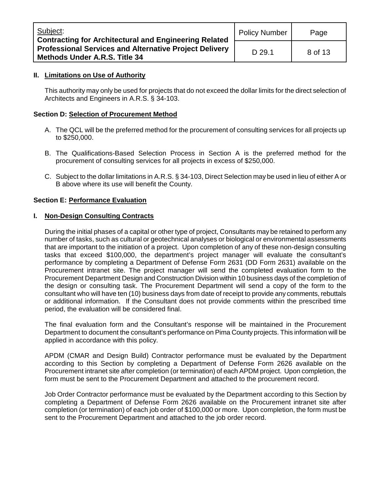| Subject:<br><b>Contracting for Architectural and Engineering Related</b>                              | <b>Policy Number</b> | Page    |
|-------------------------------------------------------------------------------------------------------|----------------------|---------|
| <b>Professional Services and Alternative Project Delivery</b><br><b>Methods Under A.R.S. Title 34</b> | D 29.1               | 8 of 13 |

### **II. Limitations on Use of Authority**

This authority may only be used for projects that do not exceed the dollar limits for the direct selection of Architects and Engineers in A.R.S. § 34-103.

### **Section D: Selection of Procurement Method**

- A. The QCL will be the preferred method for the procurement of consulting services for all projects up to \$250,000.
- B. The Qualifications-Based Selection Process in Section A is the preferred method for the procurement of consulting services for all projects in excess of \$250,000.
- C. Subject to the dollar limitations in A.R.S. § 34-103, Direct Selection may be used in lieu of either A or B above where its use will benefit the County.

### **Section E: Performance Evaluation**

#### **I. Non-Design Consulting Contracts**

During the initial phases of a capital or other type of project, Consultants may be retained to perform any number of tasks, such as cultural or geotechnical analyses or biological or environmental assessments that are important to the initiation of a project. Upon completion of any of these non-design consulting tasks that exceed \$100,000, the department's project manager will evaluate the consultant's performance by completing a Department of Defense Form 2631 (DD Form 2631) available on the Procurement intranet site. The project manager will send the completed evaluation form to the Procurement Department Design and Construction Division within 10 business days of the completion of the design or consulting task. The Procurement Department will send a copy of the form to the consultant who will have ten (10) business days from date of receipt to provide any comments, rebuttals or additional information. If the Consultant does not provide comments within the prescribed time period, the evaluation will be considered final.

The final evaluation form and the Consultant's response will be maintained in the Procurement Department to document the consultant's performance on Pima County projects. This information will be applied in accordance with this policy.

APDM (CMAR and Design Build) Contractor performance must be evaluated by the Department according to this Section by completing a Department of Defense Form 2626 available on the Procurement intranet site after completion (or termination) of each APDM project. Upon completion, the form must be sent to the Procurement Department and attached to the procurement record.

Job Order Contractor performance must be evaluated by the Department according to this Section by completing a Department of Defense Form 2626 available on the Procurement intranet site after completion (or termination) of each job order of \$100,000 or more. Upon completion, the form must be sent to the Procurement Department and attached to the job order record.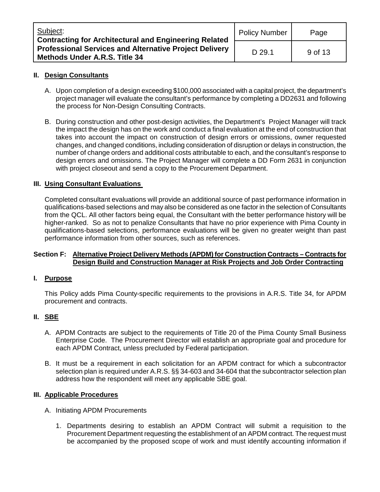| Subject:<br><b>Contracting for Architectural and Engineering Related</b>                              | <b>Policy Number</b> | Page    |
|-------------------------------------------------------------------------------------------------------|----------------------|---------|
| <b>Professional Services and Alternative Project Delivery</b><br><b>Methods Under A.R.S. Title 34</b> | D 29.1               | 9 of 13 |

## **II. Design Consultants**

- A. Upon completion of a design exceeding \$100,000 associated with a capital project, the department's project manager will evaluate the consultant's performance by completing a DD2631 and following the process for Non-Design Consulting Contracts.
- B. During construction and other post-design activities, the Department's Project Manager will track the impact the design has on the work and conduct a final evaluation at the end of construction that takes into account the impact on construction of design errors or omissions, owner requested changes, and changed conditions, including consideration of disruption or delays in construction, the number of change orders and additional costs attributable to each, and the consultant's response to design errors and omissions. The Project Manager will complete a DD Form 2631 in conjunction with project closeout and send a copy to the Procurement Department.

### **III. Using Consultant Evaluations**

Completed consultant evaluations will provide an additional source of past performance information in qualifications-based selections and may also be considered as one factor in the selection of Consultants from the QCL. All other factors being equal, the Consultant with the better performance history will be higher-ranked. So as not to penalize Consultants that have no prior experience with Pima County in qualifications-based selections, performance evaluations will be given no greater weight than past performance information from other sources, such as references.

### **Section F: Alternative Project Delivery Methods (APDM) for Construction Contracts – Contracts for Design Build and Construction Manager at Risk Projects and Job Order Contracting**

#### **I. Purpose**

This Policy adds Pima County-specific requirements to the provisions in A.R.S. Title 34, for APDM procurement and contracts.

## **II. SBE**

- A. APDM Contracts are subject to the requirements of Title 20 of the Pima County Small Business Enterprise Code. The Procurement Director will establish an appropriate goal and procedure for each APDM Contract, unless precluded by Federal participation.
- B. It must be a requirement in each solicitation for an APDM contract for which a subcontractor selection plan is required under A.R.S. §§ 34-603 and 34-604 that the subcontractor selection plan address how the respondent will meet any applicable SBE goal.

#### **III. Applicable Procedures**

- A. Initiating APDM Procurements
	- 1. Departments desiring to establish an APDM Contract will submit a requisition to the Procurement Department requesting the establishment of an APDM contract. The request must be accompanied by the proposed scope of work and must identify accounting information if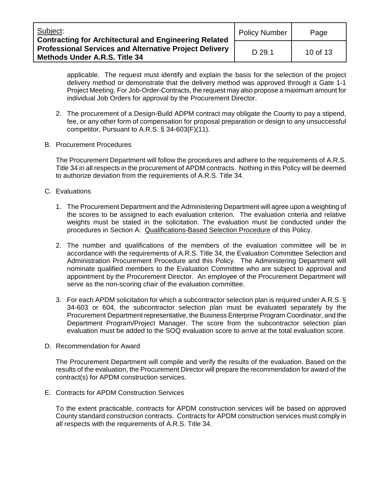| Subject:<br><b>Contracting for Architectural and Engineering Related</b>                              | <b>Policy Number</b> | Page     |
|-------------------------------------------------------------------------------------------------------|----------------------|----------|
| <b>Professional Services and Alternative Project Delivery</b><br><b>Methods Under A.R.S. Title 34</b> | D 29.1               | 10 of 13 |

applicable. The request must identify and explain the basis for the selection of the project delivery method or demonstrate that the delivery method was approved through a Gate 1-1 Project Meeting. For Job-Order-Contracts, the request may also propose a maximum amount for individual Job Orders for approval by the Procurement Director.

- 2. The procurement of a Design-Build ADPM contract may obligate the County to pay a stipend, fee, or any other form of compensation for proposal preparation or design to any unsuccessful competitor, Pursuant to A.R.S. § 34-603(F)(11).
- B. Procurement Procedures

The Procurement Department will follow the procedures and adhere to the requirements of A.R.S. Title 34 in all respects in the procurement of APDM contracts. Nothing in this Policy will be deemed to authorize deviation from the requirements of A.R.S. Title 34.

- C. Evaluations
	- 1. The Procurement Department and the Administering Department will agree upon a weighting of the scores to be assigned to each evaluation criterion. The evaluation criteria and relative weights must be stated in the solicitation. The evaluation must be conducted under the procedures in Section A: Qualifications-Based Selection Procedure of this Policy.
	- 2. The number and qualifications of the members of the evaluation committee will be in accordance with the requirements of A.R.S. Title 34, the Evaluation Committee Selection and Administration Procurement Procedure and this Policy. The Administering Department will nominate qualified members to the Evaluation Committee who are subject to approval and appointment by the Procurement Director. An employee of the Procurement Department will serve as the non-scoring chair of the evaluation committee.
	- 3. For each APDM solicitation for which a subcontractor selection plan is required under A.R.S. § 34-603 or 604, the subcontractor selection plan must be evaluated separately by the Procurement Department representative, the Business Enterprise Program Coordinator, and the Department Program/Project Manager. The score from the subcontractor selection plan evaluation must be added to the SOQ evaluation score to arrive at the total evaluation score.
- D. Recommendation for Award

The Procurement Department will compile and verify the results of the evaluation. Based on the results of the evaluation, the Procurement Director will prepare the recommendation for award of the contract(s) for APDM construction services.

E. Contracts for APDM Construction Services

To the extent practicable, contracts for APDM construction services will be based on approved County standard construction contracts. Contracts for APDM construction services must comply in all respects with the requirements of A.R.S. Title 34.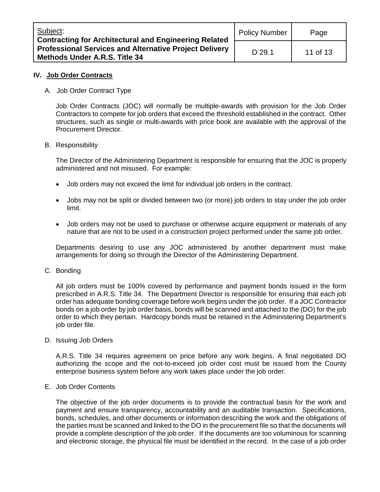| Subject:<br><b>Contracting for Architectural and Engineering Related</b>                              | <b>Policy Number</b> | Page     |
|-------------------------------------------------------------------------------------------------------|----------------------|----------|
| <b>Professional Services and Alternative Project Delivery</b><br><b>Methods Under A.R.S. Title 34</b> | D 29.1               | 11 of 13 |

### **IV. Job Order Contracts**

#### A. Job Order Contract Type

Job Order Contracts (JOC) will normally be multiple-awards with provision for the Job Order Contractors to compete for job orders that exceed the threshold established in the contract. Other structures, such as single or multi-awards with price book are available with the approval of the Procurement Director.

#### B. Responsibility

The Director of the Administering Department is responsible for ensuring that the JOC is properly administered and not misused. For example:

- Job orders may not exceed the limit for individual job orders in the contract.
- Jobs may not be split or divided between two (or more) job orders to stay under the job order limit.
- Job orders may not be used to purchase or otherwise acquire equipment or materials of any nature that are not to be used in a construction project performed under the same job order.

Departments desiring to use any JOC administered by another department must make arrangements for doing so through the Director of the Administering Department.

C. Bonding

All job orders must be 100% covered by performance and payment bonds issued in the form prescribed in A.R.S. Title 34. The Department Director is responsible for ensuring that each job order has adequate bonding coverage before work begins under the job order. If a JOC Contractor bonds on a job order by job order basis, bonds will be scanned and attached to the (DO) for the job order to which they pertain. Hardcopy bonds must be retained in the Administering Department's job order file.

D. Issuing Job Orders

A.R.S. Title 34 requires agreement on price before any work begins. A final negotiated DO authorizing the scope and the not-to-exceed job order cost must be issued from the County enterprise business system before any work takes place under the job order.

## E. Job Order Contents

The objective of the job order documents is to provide the contractual basis for the work and payment and ensure transparency, accountability and an auditable transaction. Specifications, bonds, schedules, and other documents or information describing the work and the obligations of the parties must be scanned and linked to the DO in the procurement file so that the documents will provide a complete description of the job order. If the documents are too voluminous for scanning and electronic storage, the physical file must be identified in the record. In the case of a job order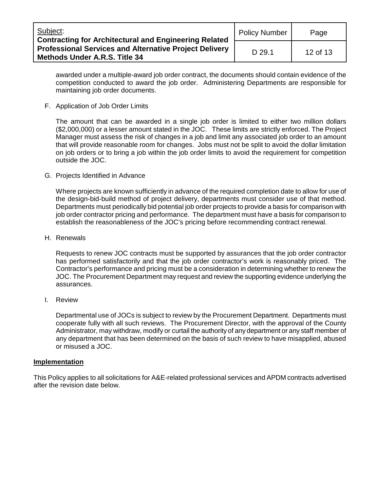| Subject:<br><b>Contracting for Architectural and Engineering Related</b>                              | <b>Policy Number</b> | Page     |
|-------------------------------------------------------------------------------------------------------|----------------------|----------|
| <b>Professional Services and Alternative Project Delivery</b><br><b>Methods Under A.R.S. Title 34</b> | D 29.1               | 12 of 13 |

awarded under a multiple-award job order contract, the documents should contain evidence of the competition conducted to award the job order. Administering Departments are responsible for maintaining job order documents.

F. Application of Job Order Limits

The amount that can be awarded in a single job order is limited to either two million dollars (\$2,000,000) or a lesser amount stated in the JOC. These limits are strictly enforced. The Project Manager must assess the risk of changes in a job and limit any associated job order to an amount that will provide reasonable room for changes. Jobs must not be split to avoid the dollar limitation on job orders or to bring a job within the job order limits to avoid the requirement for competition outside the JOC.

G. Projects Identified in Advance

Where projects are known sufficiently in advance of the required completion date to allow for use of the design-bid-build method of project delivery, departments must consider use of that method. Departments must periodically bid potential job order projects to provide a basis for comparison with job order contractor pricing and performance. The department must have a basis for comparison to establish the reasonableness of the JOC's pricing before recommending contract renewal.

H. Renewals

Requests to renew JOC contracts must be supported by assurances that the job order contractor has performed satisfactorily and that the job order contractor's work is reasonably priced. The Contractor's performance and pricing must be a consideration in determining whether to renew the JOC. The Procurement Department may request and review the supporting evidence underlying the assurances.

I. Review

Departmental use of JOCs is subject to review by the Procurement Department. Departments must cooperate fully with all such reviews. The Procurement Director, with the approval of the County Administrator, may withdraw, modify or curtail the authority of any department or any staff member of any department that has been determined on the basis of such review to have misapplied, abused or misused a JOC.

#### **Implementation**

This Policy applies to all solicitations for A&E-related professional services and APDM contracts advertised after the revision date below.